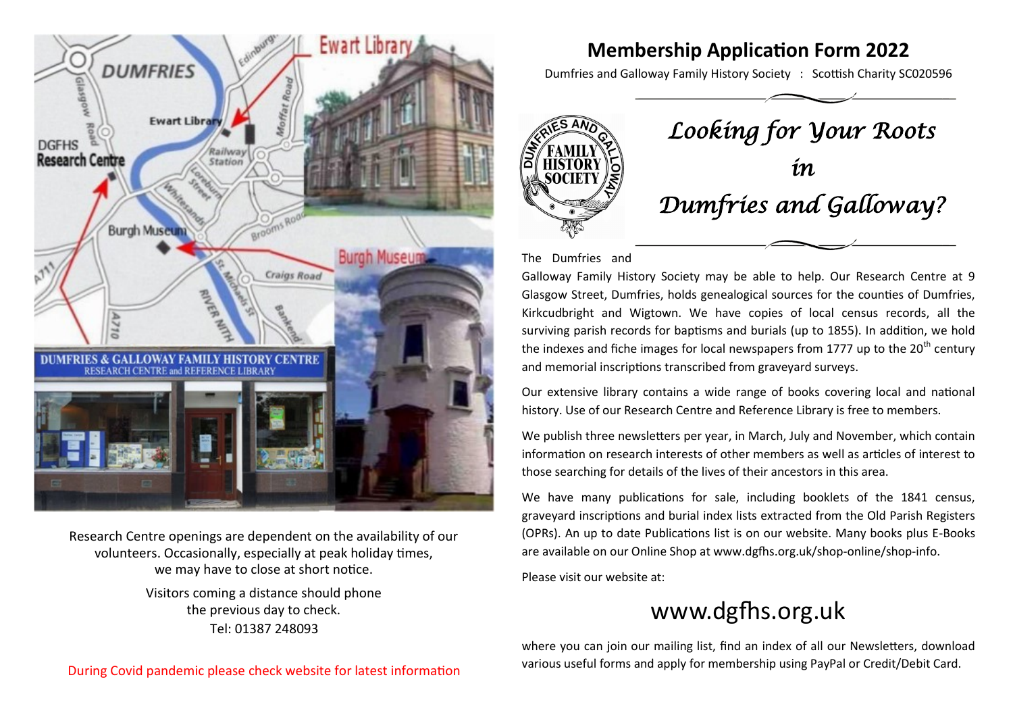

Research Centre openings are dependent on the availability of our volunteers. Occasionally, especially at peak holiday times, we may have to close at short notice.

> Visitors coming a distance should phone the previous day to check. Tel: 01387 248093

## **Membership Application Form 2022**

Dumfries and Galloway Family History Society : Scottish Charity SC020596



The Dumfries and

Galloway Family History Society may be able to help. Our Research Centre at 9 Glasgow Street, Dumfries, holds genealogical sources for the counties of Dumfries, Kirkcudbright and Wigtown. We have copies of local census records, all the surviving parish records for baptisms and burials (up to 1855). In addition, we hold the indexes and fiche images for local newspapers from 1777 up to the  $20<sup>th</sup>$  century and memorial inscriptions transcribed from graveyard surveys.

Our extensive library contains a wide range of books covering local and national history. Use of our Research Centre and Reference Library is free to members.

We publish three newsletters per year, in March, July and November, which contain information on research interests of other members as well as articles of interest to those searching for details of the lives of their ancestors in this area.

We have many publications for sale, including booklets of the 1841 census, graveyard inscriptions and burial index lists extracted from the Old Parish Registers (OPRs). An up to date Publications list is on our website. Many books plus E-Books are available on our Online Shop at www.dgfhs.org.uk/shop-online/shop-info.

Please visit our website at:

# www.dgfhs.org.uk

where you can join our mailing list, find an index of all our Newsletters, download various useful forms and apply for membership using PayPal or Credit/Debit Card.

During Covid pandemic please check website for latest information